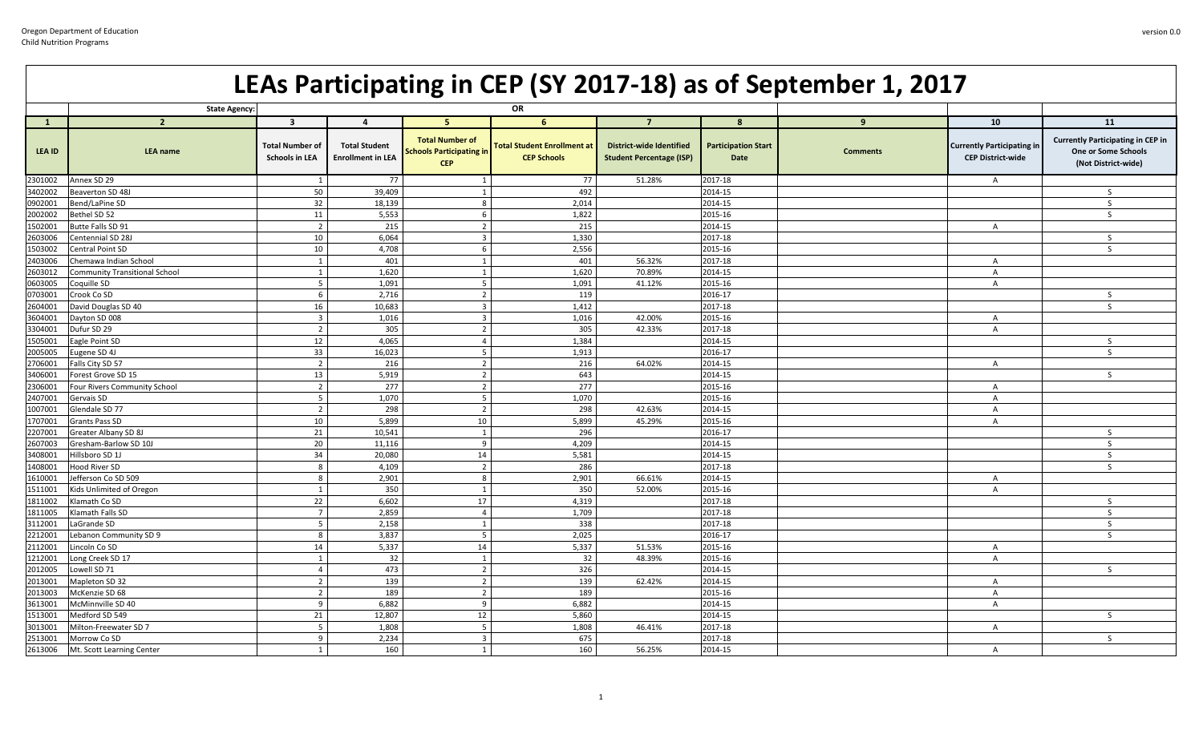## **LEAs Participating in CEP (SY 2017-18) as of September 1, 2017**

|                    | <b>State Agency:</b>                      |                                          |                                                  |                                                                  | OR                                                       |                                                                    |                                    |                 |                                                               |                                                                                        |
|--------------------|-------------------------------------------|------------------------------------------|--------------------------------------------------|------------------------------------------------------------------|----------------------------------------------------------|--------------------------------------------------------------------|------------------------------------|-----------------|---------------------------------------------------------------|----------------------------------------------------------------------------------------|
| $\mathbf{1}$       | $\overline{2}$                            | $\overline{\mathbf{3}}$                  | $\overline{a}$                                   | 5.                                                               | 6                                                        | $\overline{7}$                                                     | 8                                  | 9               | 10                                                            | 11                                                                                     |
| LEA ID             | <b>LEA</b> name                           | Total Number of<br><b>Schools in LEA</b> | <b>Total Student</b><br><b>Enrollment in LEA</b> | <b>Total Number of</b><br>Schools Participating in<br><b>CEP</b> | <b>Total Student Enrollment at</b><br><b>CEP Schools</b> | <b>District-wide Identified</b><br><b>Student Percentage (ISP)</b> | <b>Participation Start</b><br>Date | <b>Comments</b> | <b>Currently Participating in</b><br><b>CEP District-wide</b> | <b>Currently Participating in CEP in</b><br>One or Some Schools<br>(Not District-wide) |
| 2301002            | Annex SD 29                               | - 1                                      | 77                                               |                                                                  | 77                                                       | 51.28%                                                             | 2017-18                            |                 | $\overline{A}$                                                |                                                                                        |
| 3402002            | Beaverton SD 48J                          | 50                                       | 39,409                                           |                                                                  | 492                                                      |                                                                    | 2014-15                            |                 |                                                               | S                                                                                      |
| 0902001            | Bend/LaPine SD                            | 32                                       | 18,139                                           | 8                                                                | 2,014                                                    |                                                                    | 2014-15                            |                 |                                                               | S.                                                                                     |
| 2002002            | Bethel SD 52                              | 11                                       | 5,553                                            | 6                                                                | 1,822                                                    |                                                                    | 2015-16                            |                 |                                                               | S.                                                                                     |
| 1502001            | Butte Falls SD 91                         | $\overline{2}$                           | 215                                              | $\overline{2}$                                                   | 215                                                      |                                                                    | 2014-15                            |                 | $\overline{A}$                                                |                                                                                        |
| 2603006            | Centennial SD 28J                         | 10                                       | 6,064                                            | $\overline{\mathbf{3}}$                                          | 1,330                                                    |                                                                    | 2017-18                            |                 |                                                               | S.                                                                                     |
| 1503002            | Central Point SD                          | 10                                       | 4,708                                            | - 6                                                              | 2,556                                                    |                                                                    | 2015-16                            |                 |                                                               | S.                                                                                     |
| 2403006            | Chemawa Indian School                     | 1                                        | 401                                              | $\overline{1}$                                                   | 401                                                      | 56.32%                                                             | 2017-18                            |                 | $\mathsf{A}$                                                  |                                                                                        |
| 2603012            | <b>Community Transitional School</b>      | $\overline{1}$                           | 1,620                                            | $\overline{1}$                                                   | 1,620                                                    | 70.89%                                                             | 2014-15                            |                 | $\overline{A}$                                                |                                                                                        |
| 0603005            | Coquille SD                               | 5                                        | 1,091                                            | 5                                                                | 1,091                                                    | 41.12%                                                             | 2015-16                            |                 | $\overline{A}$                                                |                                                                                        |
| 0703001            | Crook Co SD                               | 6                                        | 2,716                                            | $\overline{2}$                                                   | 119                                                      |                                                                    | 2016-17                            |                 |                                                               | S.                                                                                     |
| 2604001            | David Douglas SD 40                       | 16                                       | 10,683                                           | $\overline{\mathbf{3}}$                                          | 1,412                                                    |                                                                    | 2017-18                            |                 |                                                               | S                                                                                      |
| 3604001            | Dayton SD 008                             | $\overline{3}$                           | 1,016                                            | $\overline{\mathbf{3}}$                                          | 1,016                                                    | 42.00%                                                             | 2015-16                            |                 | $\overline{A}$                                                |                                                                                        |
| 3304001            | Dufur SD 29                               | $\overline{2}$                           | 305                                              | $\overline{2}$                                                   | 305                                                      | 42.33%                                                             | 2017-18                            |                 | $\overline{A}$                                                |                                                                                        |
| 1505001            | Eagle Point SD                            | 12                                       | 4,065                                            | $\overline{4}$                                                   | 1,384                                                    |                                                                    | 2014-15                            |                 |                                                               | S.                                                                                     |
| 2005005            | Eugene SD 4J                              | 33                                       | 16,023                                           | 5                                                                | 1,913                                                    |                                                                    | 2016-17                            |                 |                                                               | S.                                                                                     |
| 2706001            | Falls City SD 57                          | $\overline{2}$                           | 216                                              | $\overline{2}$                                                   | 216                                                      | 64.02%                                                             | 2014-15                            |                 | $\overline{A}$                                                |                                                                                        |
| 3406001            | Forest Grove SD 15                        | 13                                       | 5,919                                            | $\overline{\phantom{a}}$                                         | 643                                                      |                                                                    | 2014-15                            |                 |                                                               | S.                                                                                     |
| 2306001            | Four Rivers Community School              | $\overline{2}$                           | 277                                              | $\overline{\phantom{a}}$                                         | 277                                                      |                                                                    | 2015-16                            |                 | $\mathsf{A}$                                                  |                                                                                        |
| 2407001            | Gervais SD                                | 5                                        | 1,070                                            | 5                                                                | 1,070                                                    |                                                                    | 2015-16                            |                 | $\overline{A}$                                                |                                                                                        |
| 1007001            | Glendale SD 77                            | $\overline{2}$                           | 298                                              | $\overline{2}$                                                   | 298                                                      | 42.63%                                                             | 2014-15                            |                 | $\overline{A}$                                                |                                                                                        |
| 1707001            | Grants Pass SD                            | 10                                       | 5,899                                            | 10                                                               | 5,899                                                    | 45.29%                                                             | 2015-16                            |                 | $\overline{A}$                                                |                                                                                        |
| 2207001            | Greater Albany SD 8J                      | 21                                       | 10,541                                           | $\overline{1}$                                                   | 296                                                      |                                                                    | 2016-17                            |                 |                                                               | S.                                                                                     |
| 2607003            | Gresham-Barlow SD 10J                     | 20                                       | 11,116                                           | $\overline{9}$                                                   | 4,209                                                    |                                                                    | 2014-15                            |                 |                                                               | $\mathsf{S}$<br>$\mathsf{S}$                                                           |
| 3408001            | Hillsboro SD 1J                           | 34                                       | 20,080                                           | 14<br>$\overline{2}$                                             | 5,581                                                    |                                                                    | 2014-15                            |                 |                                                               |                                                                                        |
| 1408001            | Hood River SD                             | 8                                        | 4,109                                            | 8                                                                | 286<br>2,901                                             |                                                                    | 2017-18                            |                 |                                                               | S.                                                                                     |
| 1610001            | Jefferson Co SD 509                       | 8                                        | 2,901                                            |                                                                  |                                                          | 66.61%                                                             | 2014-15                            |                 | $\mathsf{A}$                                                  |                                                                                        |
| 1511001<br>1811002 | Kids Unlimited of Oregon<br>Klamath Co SD | $\mathbf{1}$<br>22                       | 350<br>6,602                                     | 1<br>17                                                          | 350<br>4,319                                             | 52.00%                                                             | 2015-16<br>2017-18                 |                 | $\overline{A}$                                                | S.                                                                                     |
| 1811005            | Klamath Falls SD                          | $\overline{7}$                           | 2,859                                            | $\overline{4}$                                                   | 1,709                                                    |                                                                    | 2017-18                            |                 |                                                               | S.                                                                                     |
| 3112001            | LaGrande SD                               | $5^{\circ}$                              | 2,158                                            | $\overline{1}$                                                   | 338                                                      |                                                                    | 2017-18                            |                 |                                                               | S                                                                                      |
| 2212001            | Lebanon Community SD 9                    | 8                                        | 3,837                                            | 5                                                                | 2,025                                                    |                                                                    | 2016-17                            |                 |                                                               | S                                                                                      |
| 2112001            | Lincoln Co SD                             | 14                                       | 5,337                                            | 14                                                               | 5,337                                                    | 51.53%                                                             | 2015-16                            |                 | $\overline{A}$                                                |                                                                                        |
| 1212001            | Long Creek SD 17                          | $\mathbf{1}$                             | 32                                               | $\overline{1}$                                                   | 32                                                       | 48.39%                                                             | 2015-16                            |                 | $\overline{A}$                                                |                                                                                        |
| 2012005            | Lowell SD 71                              | $\overline{a}$                           | 473                                              | $\overline{2}$                                                   | 326                                                      |                                                                    | 2014-15                            |                 |                                                               | S.                                                                                     |
| 2013001            | Mapleton SD 32                            | $\overline{2}$                           | 139                                              | $\overline{\phantom{a}}$                                         | 139                                                      | 62.42%                                                             | 2014-15                            |                 | $\overline{A}$                                                |                                                                                        |
| 2013003            | McKenzie SD 68                            | $\overline{2}$                           | 189                                              | $\overline{2}$                                                   | 189                                                      |                                                                    | 2015-16                            |                 | $\overline{A}$                                                |                                                                                        |
| 3613001            | McMinnville SD 40                         | 9                                        | 6,882                                            | 9                                                                | 6,882                                                    |                                                                    | 2014-15                            |                 | $\mathsf{A}$                                                  |                                                                                        |
| 1513001            | Medford SD 549                            | 21                                       | 12,807                                           | 12                                                               | 5,860                                                    |                                                                    | 2014-15                            |                 |                                                               | S.                                                                                     |
| 3013001            | Milton-Freewater SD 7                     | 5                                        | 1,808                                            | 5                                                                | 1,808                                                    | 46.41%                                                             | 2017-18                            |                 | $\overline{A}$                                                |                                                                                        |
| 2513001            | Morrow Co SD                              | 9                                        | 2,234                                            | $\overline{\mathbf{3}}$                                          | 675                                                      |                                                                    | 2017-18                            |                 |                                                               | S.                                                                                     |
| 2613006            | Mt. Scott Learning Center                 | $\mathbf{1}$                             | 160                                              | $\overline{1}$                                                   | 160                                                      | 56.25%                                                             | 2014-15                            |                 | $\overline{A}$                                                |                                                                                        |
|                    |                                           |                                          |                                                  |                                                                  |                                                          |                                                                    |                                    |                 |                                                               |                                                                                        |